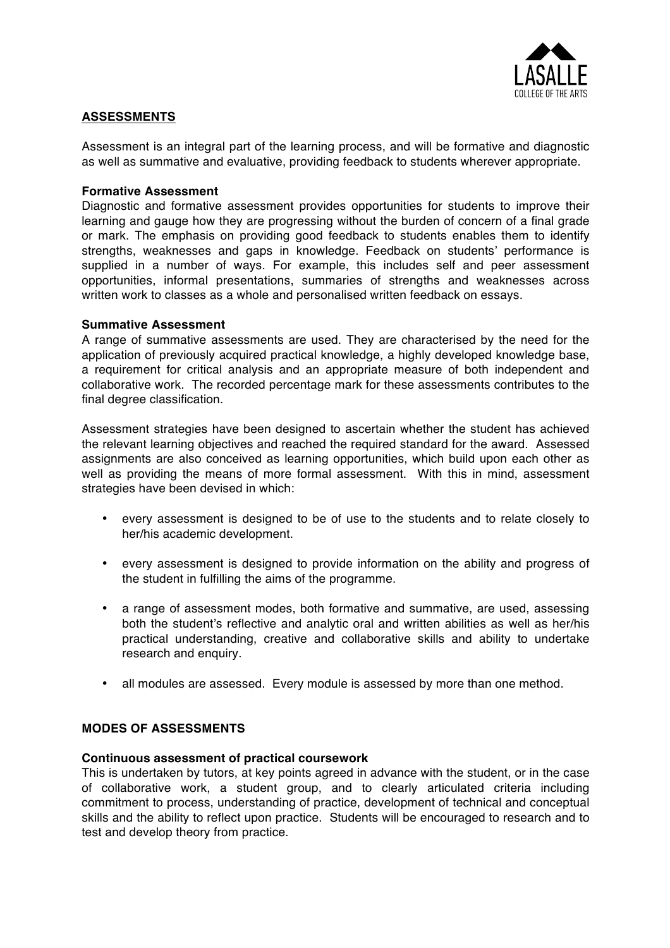

# **ASSESSMENTS**

Assessment is an integral part of the learning process, and will be formative and diagnostic as well as summative and evaluative, providing feedback to students wherever appropriate.

### **Formative Assessment**

Diagnostic and formative assessment provides opportunities for students to improve their learning and gauge how they are progressing without the burden of concern of a final grade or mark. The emphasis on providing good feedback to students enables them to identify strengths, weaknesses and gaps in knowledge. Feedback on students' performance is supplied in a number of ways. For example, this includes self and peer assessment opportunities, informal presentations, summaries of strengths and weaknesses across written work to classes as a whole and personalised written feedback on essays.

### **Summative Assessment**

A range of summative assessments are used. They are characterised by the need for the application of previously acquired practical knowledge, a highly developed knowledge base, a requirement for critical analysis and an appropriate measure of both independent and collaborative work. The recorded percentage mark for these assessments contributes to the final degree classification.

Assessment strategies have been designed to ascertain whether the student has achieved the relevant learning objectives and reached the required standard for the award. Assessed assignments are also conceived as learning opportunities, which build upon each other as well as providing the means of more formal assessment. With this in mind, assessment strategies have been devised in which:

- every assessment is designed to be of use to the students and to relate closely to her/his academic development.
- every assessment is designed to provide information on the ability and progress of the student in fulfilling the aims of the programme.
- a range of assessment modes, both formative and summative, are used, assessing both the student's reflective and analytic oral and written abilities as well as her/his practical understanding, creative and collaborative skills and ability to undertake research and enquiry.
- all modules are assessed. Every module is assessed by more than one method.

## **MODES OF ASSESSMENTS**

#### **Continuous assessment of practical coursework**

This is undertaken by tutors, at key points agreed in advance with the student, or in the case of collaborative work, a student group, and to clearly articulated criteria including commitment to process, understanding of practice, development of technical and conceptual skills and the ability to reflect upon practice. Students will be encouraged to research and to test and develop theory from practice.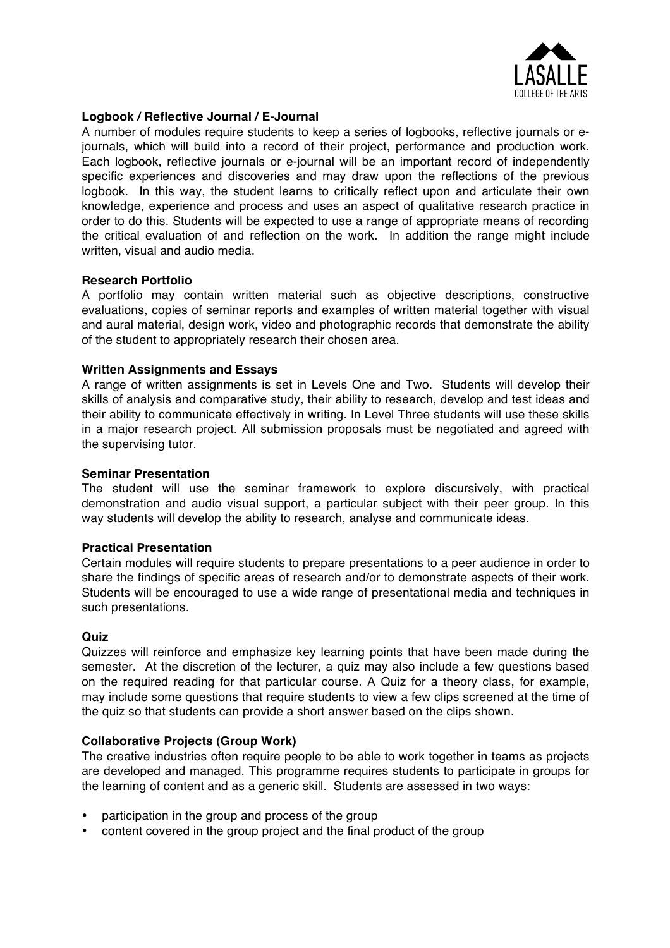

## **Logbook / Reflective Journal / E-Journal**

A number of modules require students to keep a series of logbooks, reflective journals or ejournals, which will build into a record of their project, performance and production work. Each logbook, reflective journals or e-journal will be an important record of independently specific experiences and discoveries and may draw upon the reflections of the previous logbook. In this way, the student learns to critically reflect upon and articulate their own knowledge, experience and process and uses an aspect of qualitative research practice in order to do this. Students will be expected to use a range of appropriate means of recording the critical evaluation of and reflection on the work. In addition the range might include written, visual and audio media.

### **Research Portfolio**

A portfolio may contain written material such as objective descriptions, constructive evaluations, copies of seminar reports and examples of written material together with visual and aural material, design work, video and photographic records that demonstrate the ability of the student to appropriately research their chosen area.

### **Written Assignments and Essays**

A range of written assignments is set in Levels One and Two. Students will develop their skills of analysis and comparative study, their ability to research, develop and test ideas and their ability to communicate effectively in writing. In Level Three students will use these skills in a major research project. All submission proposals must be negotiated and agreed with the supervising tutor.

#### **Seminar Presentation**

The student will use the seminar framework to explore discursively, with practical demonstration and audio visual support, a particular subject with their peer group. In this way students will develop the ability to research, analyse and communicate ideas.

#### **Practical Presentation**

Certain modules will require students to prepare presentations to a peer audience in order to share the findings of specific areas of research and/or to demonstrate aspects of their work. Students will be encouraged to use a wide range of presentational media and techniques in such presentations.

#### **Quiz**

Quizzes will reinforce and emphasize key learning points that have been made during the semester. At the discretion of the lecturer, a quiz may also include a few questions based on the required reading for that particular course. A Quiz for a theory class, for example, may include some questions that require students to view a few clips screened at the time of the quiz so that students can provide a short answer based on the clips shown.

## **Collaborative Projects (Group Work)**

The creative industries often require people to be able to work together in teams as projects are developed and managed. This programme requires students to participate in groups for the learning of content and as a generic skill. Students are assessed in two ways:

- participation in the group and process of the group
- content covered in the group project and the final product of the group